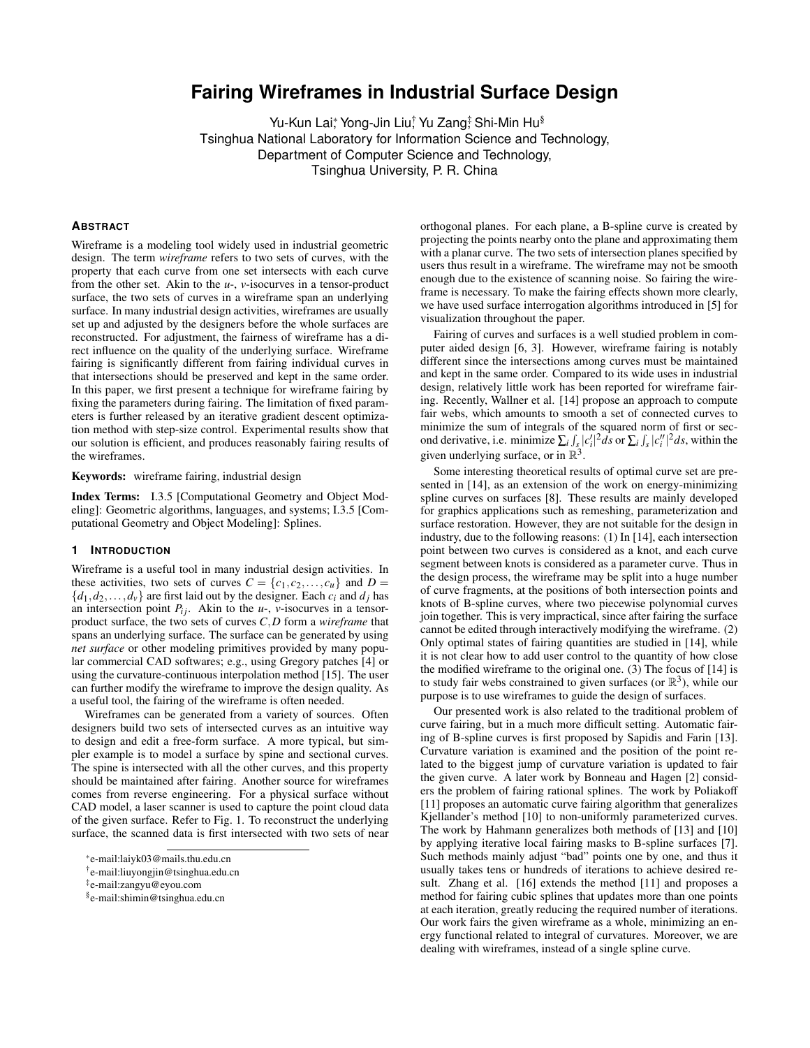# **Fairing Wireframes in Industrial Surface Design**

Yu-Kun Lai; Yong-Jin Liu; Yu Zang; Shi-Min Hu<sup>§</sup> Tsinghua National Laboratory for Information Science and Technology, Department of Computer Science and Technology, Tsinghua University, P. R. China

## **ABSTRACT**

Wireframe is a modeling tool widely used in industrial geometric design. The term *wireframe* refers to two sets of curves, with the property that each curve from one set intersects with each curve from the other set. Akin to the *u*-, *v*-isocurves in a tensor-product surface, the two sets of curves in a wireframe span an underlying surface. In many industrial design activities, wireframes are usually set up and adjusted by the designers before the whole surfaces are reconstructed. For adjustment, the fairness of wireframe has a direct influence on the quality of the underlying surface. Wireframe fairing is significantly different from fairing individual curves in that intersections should be preserved and kept in the same order. In this paper, we first present a technique for wireframe fairing by fixing the parameters during fairing. The limitation of fixed parameters is further released by an iterative gradient descent optimization method with step-size control. Experimental results show that our solution is efficient, and produces reasonably fairing results of the wireframes.

Keywords: wireframe fairing, industrial design

Index Terms: I.3.5 [Computational Geometry and Object Modeling]: Geometric algorithms, languages, and systems; I.3.5 [Computational Geometry and Object Modeling]: Splines.

#### **1 INTRODUCTION**

Wireframe is a useful tool in many industrial design activities. In these activities, two sets of curves  $C = \{c_1, c_2, \ldots, c_u\}$  and  $D =$  ${d_1, d_2, \ldots, d_v}$  are first laid out by the designer. Each  $c_i$  and  $d_j$  has an intersection point  $P_{ij}$ . Akin to the *u*-, *v*-isocurves in a tensorproduct surface, the two sets of curves *C*,*D* form a *wireframe* that spans an underlying surface. The surface can be generated by using *net surface* or other modeling primitives provided by many popular commercial CAD softwares; e.g., using Gregory patches [4] or using the curvature-continuous interpolation method [15]. The user can further modify the wireframe to improve the design quality. As a useful tool, the fairing of the wireframe is often needed.

Wireframes can be generated from a variety of sources. Often designers build two sets of intersected curves as an intuitive way to design and edit a free-form surface. A more typical, but simpler example is to model a surface by spine and sectional curves. The spine is intersected with all the other curves, and this property should be maintained after fairing. Another source for wireframes comes from reverse engineering. For a physical surface without CAD model, a laser scanner is used to capture the point cloud data of the given surface. Refer to Fig. 1. To reconstruct the underlying surface, the scanned data is first intersected with two sets of near

† e-mail:liuyongjin@tsinghua.edu.cn

orthogonal planes. For each plane, a B-spline curve is created by projecting the points nearby onto the plane and approximating them with a planar curve. The two sets of intersection planes specified by users thus result in a wireframe. The wireframe may not be smooth enough due to the existence of scanning noise. So fairing the wireframe is necessary. To make the fairing effects shown more clearly, we have used surface interrogation algorithms introduced in [5] for visualization throughout the paper.

Fairing of curves and surfaces is a well studied problem in computer aided design [6, 3]. However, wireframe fairing is notably different since the intersections among curves must be maintained and kept in the same order. Compared to its wide uses in industrial design, relatively little work has been reported for wireframe fairing. Recently, Wallner et al. [14] propose an approach to compute fair webs, which amounts to smooth a set of connected curves to minimize the sum of integrals of the squared norm of first or second derivative, i.e. minimize  $\sum_i \int_{S} |c_i'|^2 ds$  or  $\sum_i \int_{S} |c_i''|^2 ds$ , within the given underlying surface, or in  $\mathbb{R}^3$ .

Some interesting theoretical results of optimal curve set are presented in [14], as an extension of the work on energy-minimizing spline curves on surfaces [8]. These results are mainly developed for graphics applications such as remeshing, parameterization and surface restoration. However, they are not suitable for the design in industry, due to the following reasons: (1) In [14], each intersection point between two curves is considered as a knot, and each curve segment between knots is considered as a parameter curve. Thus in the design process, the wireframe may be split into a huge number of curve fragments, at the positions of both intersection points and knots of B-spline curves, where two piecewise polynomial curves join together. This is very impractical, since after fairing the surface cannot be edited through interactively modifying the wireframe. (2) Only optimal states of fairing quantities are studied in [14], while it is not clear how to add user control to the quantity of how close the modified wireframe to the original one. (3) The focus of [14] is to study fair webs constrained to given surfaces (or  $\mathbb{R}^3$ ), while our purpose is to use wireframes to guide the design of surfaces.

Our presented work is also related to the traditional problem of curve fairing, but in a much more difficult setting. Automatic fairing of B-spline curves is first proposed by Sapidis and Farin [13]. Curvature variation is examined and the position of the point related to the biggest jump of curvature variation is updated to fair the given curve. A later work by Bonneau and Hagen [2] considers the problem of fairing rational splines. The work by Poliakoff [11] proposes an automatic curve fairing algorithm that generalizes Kjellander's method [10] to non-uniformly parameterized curves. The work by Hahmann generalizes both methods of [13] and [10] by applying iterative local fairing masks to B-spline surfaces [7]. Such methods mainly adjust "bad" points one by one, and thus it usually takes tens or hundreds of iterations to achieve desired result. Zhang et al. [16] extends the method [11] and proposes a method for fairing cubic splines that updates more than one points at each iteration, greatly reducing the required number of iterations. Our work fairs the given wireframe as a whole, minimizing an energy functional related to integral of curvatures. Moreover, we are dealing with wireframes, instead of a single spline curve.

<sup>∗</sup> e-mail:laiyk03@mails.thu.edu.cn

<sup>‡</sup> e-mail:zangyu@eyou.com

<sup>§</sup> e-mail:shimin@tsinghua.edu.cn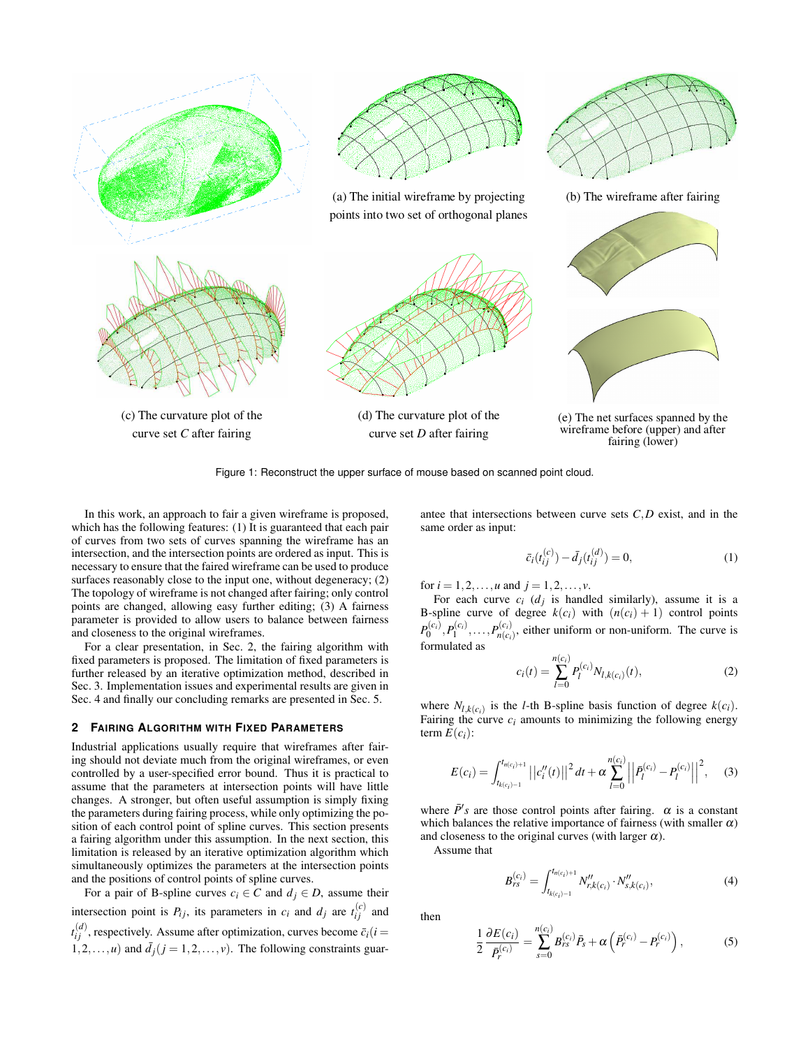

Figure 1: Reconstruct the upper surface of mouse based on scanned point cloud.

 In this work, an approach to fair a given wireframe is proposed, which has the following features: (1) It is guaranteed that each pair of curves from two sets of curves spanning the wireframe has an intersection, and the intersection points are ordered as input. This is necessary to ensure that the faired wireframe can be used to produce surfaces reasonably close to the input one, without degeneracy; (2) The topology of wireframe is not changed after fairing; only control points are changed, allowing easy further editing; (3) A fairness parameter is provided to allow users to balance between fairness and closeness to the original wireframes.

For a clear presentation, in Sec. 2, the fairing algorithm with fixed parameters is proposed. The limitation of fixed parameters is further released by an iterative optimization method, described in Sec. 3. Implementation issues and experimental results are given in Sec. 4 and finally our concluding remarks are presented in Sec. 5.

## **2 FAIRING ALGORITHM WITH FIXED PARAMETERS**

Industrial applications usually require that wireframes after fairing should not deviate much from the original wireframes, or even controlled by a user-specified error bound. Thus it is practical to assume that the parameters at intersection points will have little changes. A stronger, but often useful assumption is simply fixing the parameters during fairing process, while only optimizing the position of each control point of spline curves. This section presents a fairing algorithm under this assumption. In the next section, this limitation is released by an iterative optimization algorithm which simultaneously optimizes the parameters at the intersection points and the positions of control points of spline curves.

For a pair of B-spline curves  $c_i \in C$  and  $d_j \in D$ , assume their intersection point is  $P_{ij}$ , its parameters in  $c_i$  and  $d_j$  are  $t_{ij}^{(c)}$  and  $t_{ij}^{(d)}$ , respectively. Assume after optimization, curves become  $\bar{c}_i(i=$  $1, 2, \ldots, u$ ) and  $\bar{d}_j$  ( $j = 1, 2, \ldots, v$ ). The following constraints guarantee that intersections between curve sets *C*,*D* exist, and in the same order as input:

$$
\bar{c}_i(t_{ij}^{(c)}) - \bar{d}_j(t_{ij}^{(d)}) = 0,\t(1)
$$

for  $i = 1, 2, ..., u$  and  $j = 1, 2, ..., v$ .

For each curve  $c_i$  ( $d_j$ ) is handled similarly), assume it is a B-spline curve of degree  $k(c_i)$  with  $(n(c_i) + 1)$  control points  $P_0^{(c_i)}, P_1^{(c_i)}, \ldots, P_{n(c_i)}^{(c_i)}$  $n(c_i)$ , either uniform or non-uniform. The curve is formulated as

$$
c_i(t) = \sum_{l=0}^{n(c_i)} P_l^{(c_i)} N_{l,k(c_i)}(t),
$$
\n(2)

where  $N_{l,k(c_i)}$  is the *l*-th B-spline basis function of degree  $k(c_i)$ . Fairing the curve  $c_i$  amounts to minimizing the following energy term  $E(c_i)$ :

$$
E(c_i) = \int_{t_{k(c_i)-1}}^{t_{n(c_i)+1}} \left| \left| c''_i(t) \right| \right|^2 dt + \alpha \sum_{l=0}^{n(c_i)} \left| \left| \bar{P}_l^{(c_i)} - P_l^{(c_i)} \right| \right|^2, \quad (3)
$$

where  $\bar{P}'s$  are those control points after fairing.  $\alpha$  is a constant which balances the relative importance of fairness (with smaller  $\alpha$ ) and closeness to the original curves (with larger  $\alpha$ ).

Assume that

$$
B_{rs}^{(c_i)} = \int_{t_{k(c_i)-1}}^{t_{n(c_i)+1}} N_{r,k(c_i)}'' \cdot N_{s,k(c_i)}''',
$$
 (4)

then

$$
\frac{1}{2}\frac{\partial E(c_i)}{\bar{P}_r^{(c_i)}} = \sum_{s=0}^{n(c_i)} B_{rs}^{(c_i)} \bar{P}_s + \alpha \left(\bar{P}_r^{(c_i)} - P_r^{(c_i)}\right),\tag{5}
$$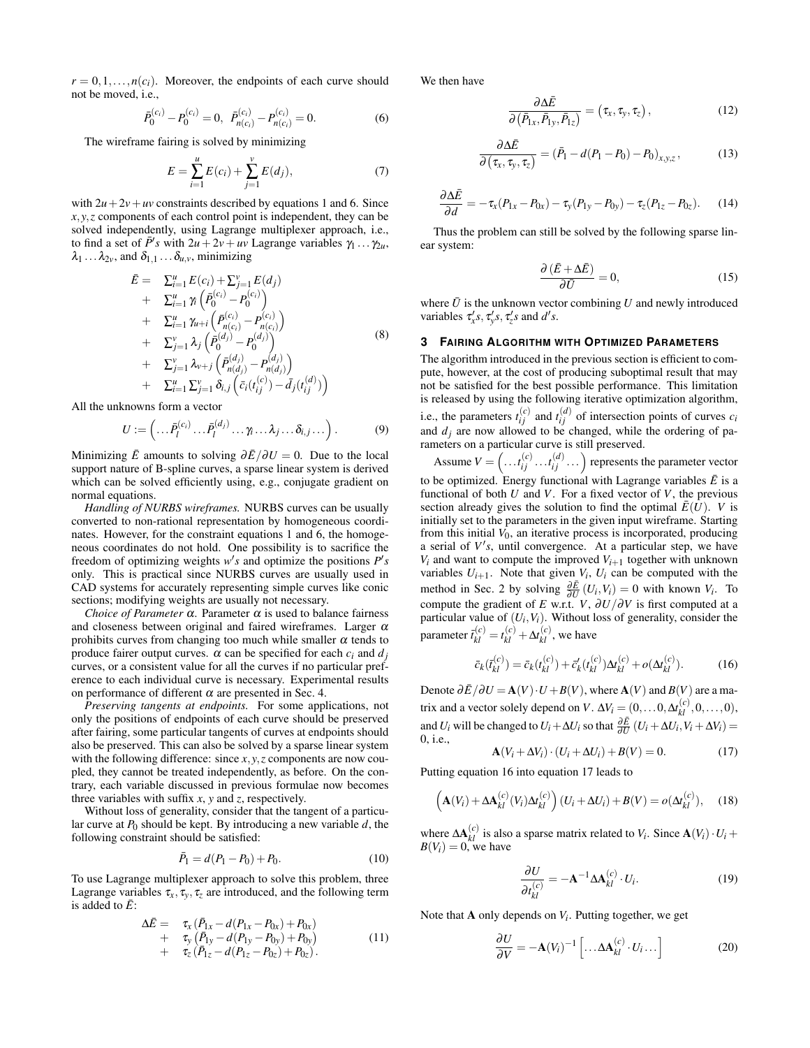$r = 0, 1, \ldots, n(c_i)$ . Moreover, the endpoints of each curve should not be moved, i.e.,

$$
\bar{P}_0^{(c_i)} - P_0^{(c_i)} = 0, \ \ \bar{P}_{n(c_i)}^{(c_i)} - P_{n(c_i)}^{(c_i)} = 0. \tag{6}
$$

The wireframe fairing is solved by minimizing

$$
E = \sum_{i=1}^{u} E(c_i) + \sum_{j=1}^{v} E(d_j),
$$
 (7)

with  $2u + 2v + uv$  constraints described by equations 1 and 6. Since  $x, y, z$  components of each control point is independent, they can be solved independently, using Lagrange multiplexer approach, i.e., to find a set of  $\bar{P}$ 's with  $2u + 2v + uv$  Lagrange variables  $\gamma_1 \dots \gamma_{2u}$ ,  $\lambda_1 \dots \lambda_{2\nu}$ , and  $\delta_{1,1} \dots \delta_{u,\nu}$ , minimizing

$$
\bar{E} = \sum_{i=1}^{u} E(c_i) + \sum_{j=1}^{v} E(d_j) \n+ \sum_{i=1}^{u} \gamma_i \left( \bar{P}_0^{(c_i)} - P_0^{(c_i)} \right) \n+ \sum_{i=1}^{u} \gamma_{u+i} \left( \bar{P}_{n(c_i)}^{(c_i)} - P_{n(c_i)}^{(c_i)} \right) \n+ \sum_{j=1}^{v} \lambda_j \left( \bar{P}_0^{(d_j)} - P_0^{(d_j)} \right) \n+ \sum_{j=1}^{v} \lambda_{v+j} \left( \bar{P}_{n(d_j)}^{(d_j)} - P_{n(d_j)}^{(d_j)} \right) \n+ \sum_{i=1}^{u} \sum_{j=1}^{v} \delta_{i,j} \left( \bar{c}_i(t_{ij}^{(c)}) - \bar{d}_j(t_{ij}^{(d)}) \right)
$$
\n(8)

All the unknowns form a vector

$$
U := \left( \dots \bar{P}_l^{(c_i)} \dots \bar{P}_l^{(d_j)} \dots \gamma_i \dots \lambda_j \dots \delta_{i,j} \dots \right). \tag{9}
$$

Minimizing  $\bar{E}$  amounts to solving  $\partial \bar{E}/\partial U = 0$ . Due to the local support nature of B-spline curves, a sparse linear system is derived which can be solved efficiently using, e.g., conjugate gradient on normal equations.

*Handling of NURBS wireframes.* NURBS curves can be usually converted to non-rational representation by homogeneous coordinates. However, for the constraint equations 1 and 6, the homogeneous coordinates do not hold. One possibility is to sacrifice the freedom of optimizing weights  $w's$  and optimize the positions  $P's$ only. This is practical since NURBS curves are usually used in CAD systems for accurately representing simple curves like conic sections; modifying weights are usually not necessary.

*Choice of Parameter*  $\alpha$ . Parameter  $\alpha$  is used to balance fairness and closeness between original and faired wireframes. Larger  $\alpha$ prohibits curves from changing too much while smaller  $\alpha$  tends to produce fairer output curves.  $\alpha$  can be specified for each  $c_i$  and  $d_j$ curves, or a consistent value for all the curves if no particular preference to each individual curve is necessary. Experimental results on performance of different  $\alpha$  are presented in Sec. 4.

*Preserving tangents at endpoints.* For some applications, not only the positions of endpoints of each curve should be preserved after fairing, some particular tangents of curves at endpoints should also be preserved. This can also be solved by a sparse linear system with the following difference: since *x*, *y*,*z* components are now coupled, they cannot be treated independently, as before. On the contrary, each variable discussed in previous formulae now becomes three variables with suffix *x*, *y* and *z*, respectively.

Without loss of generality, consider that the tangent of a particular curve at  $P_0$  should be kept. By introducing a new variable  $d$ , the following constraint should be satisfied:

$$
\bar{P}_1 = d(P_1 - P_0) + P_0. \tag{10}
$$

To use Lagrange multiplexer approach to solve this problem, three Lagrange variables  $\tau_x, \tau_y, \tau_z$  are introduced, and the following term is added to  $\bar{E}$ :

$$
\Delta \bar{E} = \tau_x (\bar{P}_{1x} - d(P_{1x} - P_{0x}) + P_{0x}) \n+ \tau_y (\bar{P}_{1y} - d(P_{1y} - P_{0y}) + P_{0y}) \n+ \tau_z (\bar{P}_{1z} - d(P_{1z} - P_{0z}) + P_{0z}).
$$
\n(11)

We then have

$$
\frac{\partial \Delta \bar{E}}{\partial \left(\bar{P}_{1x}, \bar{P}_{1y}, \bar{P}_{1z}\right)} = \left(\tau_x, \tau_y, \tau_z\right),\tag{12}
$$

$$
\frac{\partial \Delta \bar{E}}{\partial \left(\tau_x, \tau_y, \tau_z\right)} = \left(\bar{P}_1 - d(P_1 - P_0) - P_0\right)_{x, y, z},\tag{13}
$$

$$
\frac{\partial \Delta \bar{E}}{\partial d} = -\tau_x (P_{1x} - P_{0x}) - \tau_y (P_{1y} - P_{0y}) - \tau_z (P_{1z} - P_{0z}). \tag{14}
$$

Thus the problem can still be solved by the following sparse linear system:

$$
\frac{\partial (\bar{E} + \Delta \bar{E})}{\partial \bar{U}} = 0, \tag{15}
$$

where  $\bar{U}$  is the unknown vector combining  $U$  and newly introduced variables  $\tau'_x s, \tau'_y s, \tau'_z s$  and  $d's$ .

#### **3 FAIRING ALGORITHM WITH OPTIMIZED PARAMETERS**

The algorithm introduced in the previous section is efficient to compute, however, at the cost of producing suboptimal result that may not be satisfied for the best possible performance. This limitation is released by using the following iterative optimization algorithm, i.e., the parameters  $t_{ij}^{(c)}$  and  $t_{ij}^{(d)}$  of intersection points of curves  $c_i$ and  $d_j$  are now allowed to be changed, while the ordering of parameters on a particular curve is still preserved.

heters on a particular curve is still preserved.<br>Assume  $V = \left( \dots t_{ij}^{(c)} \dots t_{ij}^{(d)} \dots \right)$  represents the parameter vector to be optimized. Energy functional with Lagrange variables  $\bar{E}$  is a functional of both  $U$  and  $V$ . For a fixed vector of  $V$ , the previous section already gives the solution to find the optimal  $\bar{E}(\bar{U})$ . *V* is initially set to the parameters in the given input wireframe. Starting from this initial  $V_0$ , an iterative process is incorporated, producing a serial of  $V's$ , until convergence. At a particular step, we have  $V_i$  and want to compute the improved  $V_{i+1}$  together with unknown variables  $U_{i+1}$ . Note that given  $V_i$ ,  $U_i$  can be computed with the method in Sec. 2 by solving  $\frac{\partial \vec{E}}{\partial U}(U_i, V_i) = 0$  with known  $V_i$ . To compute the gradient of *E* w.r.t. *V*,  $\partial U/\partial V$  is first computed at a particular value of  $(U_i, V_i)$ . Without loss of generality, consider the parameter  $\bar{t}_{kl}^{(c)} = t_{kl}^{(c)} + \Delta t_{kl}^{(c)}$ , we have

$$
\bar{c}_k(\bar{t}_{kl}^{(c)}) = \bar{c}_k(t_{kl}^{(c)}) + \bar{c}_k'(t_{kl}^{(c)})\Delta_{kl}^{(c)} + o(\Delta t_{kl}^{(c)}).
$$
 (16)

Denote  $\partial \overline{E}/\partial U = A(V) \cdot U + B(V)$ , where  $A(V)$  and  $B(V)$  are a matrix and a vector solely depend on *V*.  $\Delta V_i = (0, \dots 0, \Delta t_{kl}^{(c)}, 0, \dots, 0)$ , and *U<sub>i</sub>* will be changed to  $U_i + \Delta U_i$  so that  $\frac{\partial E}{\partial U}(U_i + \Delta U_i, V_i + \Delta V_i)$  = 0, i.e.,

$$
\mathbf{A}(V_i + \Delta V_i) \cdot (U_i + \Delta U_i) + B(V) = 0. \tag{17}
$$

Putting equation 16 into equation 17 leads to

$$
\left(\mathbf{A}(V_i) + \Delta \mathbf{A}_{kl}^{(c)}(V_i) \Delta t_{kl}^{(c)}\right)(U_i + \Delta U_i) + B(V) = o(\Delta t_{kl}^{(c)}), \quad (18)
$$

where  $\Delta A_{kl}^{(c)}$  is also a sparse matrix related to  $V_i$ . Since  $A(V_i) \cdot U_i$  +  $B(V_i) = 0$ , we have

$$
\frac{\partial U}{\partial t_{kl}^{(c)}} = -\mathbf{A}^{-1} \Delta \mathbf{A}_{kl}^{(c)} \cdot U_i.
$$
 (19)

Note that  $A$  only depends on  $V_i$ . Putting together, we get

$$
\frac{\partial U}{\partial V} = -\mathbf{A}(V_i)^{-1} \left[ \dots \Delta \mathbf{A}_{kl}^{(c)} \cdot U_i \dots \right]
$$
 (20)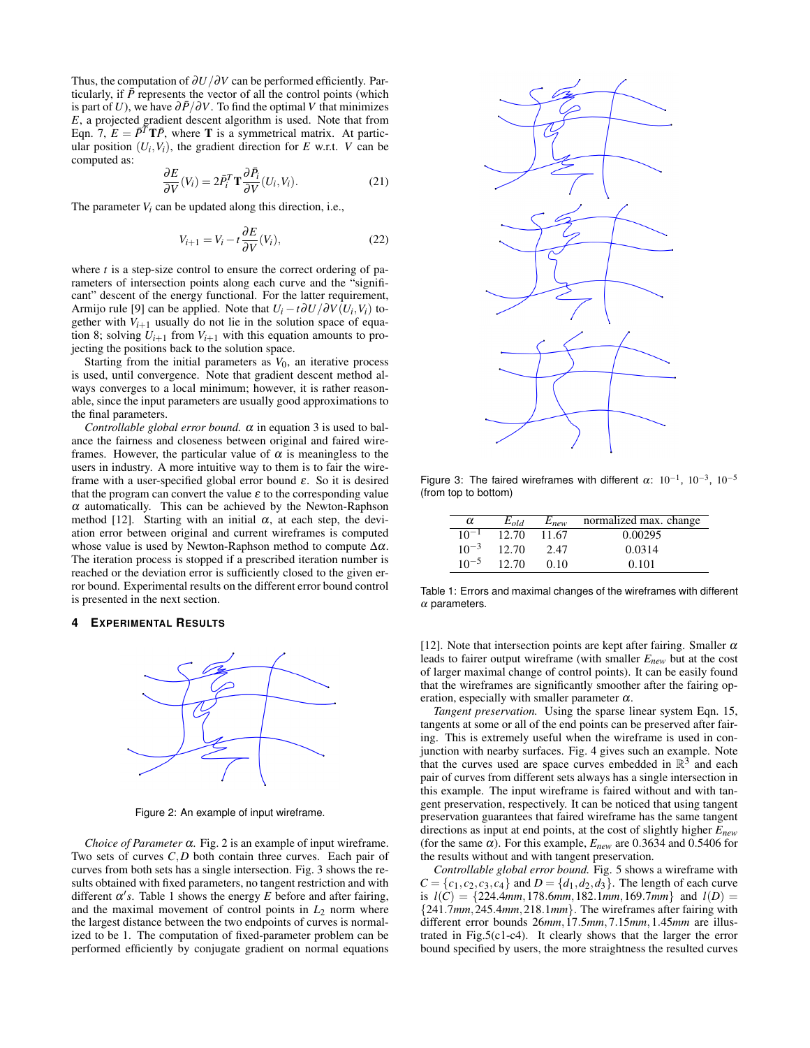Thus, the computation of ∂*U*/∂*V* can be performed efficiently. Particularly, if  $\bar{P}$  represents the vector of all the control points (which is part of *U*), we have  $\partial \bar{P}/\partial V$ . To find the optimal *V* that minimizes *E*, a projected gradient descent algorithm is used. Note that from Eqn. 7,  $E = \overline{P}^T T \overline{P}$ , where **T** is a symmetrical matrix. At particular position  $(U_i, V_i)$ , the gradient direction for *E* w.r.t. *V* can be computed as:

$$
\frac{\partial E}{\partial V}(V_i) = 2\bar{P}_i^T \mathbf{T} \frac{\partial \bar{P}_i}{\partial V}(U_i, V_i).
$$
 (21)

The parameter  $V_i$  can be updated along this direction, i.e.,

$$
V_{i+1} = V_i - t \frac{\partial E}{\partial V}(V_i), \qquad (22)
$$

where *t* is a step-size control to ensure the correct ordering of parameters of intersection points along each curve and the "significant" descent of the energy functional. For the latter requirement, Armijo rule [9] can be applied. Note that  $U_i - t \frac{\partial U}{\partial V}(U_i, V_i)$  together with  $V_{i+1}$  usually do not lie in the solution space of equation 8; solving  $U_{i+1}$  from  $V_{i+1}$  with this equation amounts to projecting the positions back to the solution space.

Starting from the initial parameters as  $V_0$ , an iterative process is used, until convergence. Note that gradient descent method always converges to a local minimum; however, it is rather reasonable, since the input parameters are usually good approximations to the final parameters.

*Controllable global error bound.*  $\alpha$  in equation 3 is used to balance the fairness and closeness between original and faired wireframes. However, the particular value of  $\alpha$  is meaningless to the users in industry. A more intuitive way to them is to fair the wireframe with a user-specified global error bound  $\varepsilon$ . So it is desired that the program can convert the value  $\varepsilon$  to the corresponding value  $\alpha$  automatically. This can be achieved by the Newton-Raphson method [12]. Starting with an initial  $\alpha$ , at each step, the deviation error between original and current wireframes is computed whose value is used by Newton-Raphson method to compute  $\Delta \alpha$ . The iteration process is stopped if a prescribed iteration number is reached or the deviation error is sufficiently closed to the given error bound. Experimental results on the different error bound control is presented in the next section.

#### **4 EXPERIMENTAL RESULTS**



Figure 2: An example of input wireframe.

*Choice of Parameter* <sup>α</sup>*.* Fig. 2 is an example of input wireframe. Two sets of curves *C*,*D* both contain three curves. Each pair of curves from both sets has a single intersection. Fig. 3 shows the results obtained with fixed parameters, no tangent restriction and with different  $\alpha'$ s. Table 1 shows the energy *E* before and after fairing, and the maximal movement of control points in  $L_2$  norm where the largest distance between the two endpoints of curves is normalized to be 1. The computation of fixed-parameter problem can be performed efficiently by conjugate gradient on normal equations



Figure 3: The faired wireframes with different  $\alpha$ : 10<sup>-1</sup>, 10<sup>-3</sup>, 10<sup>-5</sup> (from top to bottom)

| α         | $E_{old}$ | $E_{new}$ | normalized max. change |
|-----------|-----------|-----------|------------------------|
| $10^{-1}$ | 12.70     | 11.67     | 0.00295                |
| $10^{-3}$ | 12.70     | 2.47      | 0.0314                 |
| $10^{-5}$ | 12.70     | 0.10      | 0.101                  |

Table 1: Errors and maximal changes of the wireframes with different  $\alpha$  parameters.

[12]. Note that intersection points are kept after fairing. Smaller  $\alpha$ leads to fairer output wireframe (with smaller *Enew* but at the cost of larger maximal change of control points). It can be easily found that the wireframes are significantly smoother after the fairing operation, especially with smaller parameter  $\alpha$ .

*Tangent preservation.* Using the sparse linear system Eqn. 15, tangents at some or all of the end points can be preserved after fairing. This is extremely useful when the wireframe is used in conjunction with nearby surfaces. Fig. 4 gives such an example. Note that the curves used are space curves embedded in  $\mathbb{R}^3$  and each pair of curves from different sets always has a single intersection in this example. The input wireframe is faired without and with tangent preservation, respectively. It can be noticed that using tangent preservation guarantees that faired wireframe has the same tangent directions as input at end points, at the cost of slightly higher *Enew* (for the same  $\alpha$ ). For this example,  $E_{new}$  are 0.3634 and 0.5406 for the results without and with tangent preservation.

*Controllable global error bound.* Fig. 5 shows a wireframe with  $C = \{c_1, c_2, c_3, c_4\}$  and  $D = \{d_1, d_2, d_3\}$ . The length of each curve is  $l(C) = \{224.4mm, 178.6mm, 182.1mm, 169.7mm\}$  and  $l(D) =$ {241.7*mm*,245.4*mm*,218.1*mm*}. The wireframes after fairing with different error bounds 26*mm*,17.5*mm*,7.15*mm*,1.45*mm* are illustrated in Fig.5(c1-c4). It clearly shows that the larger the error bound specified by users, the more straightness the resulted curves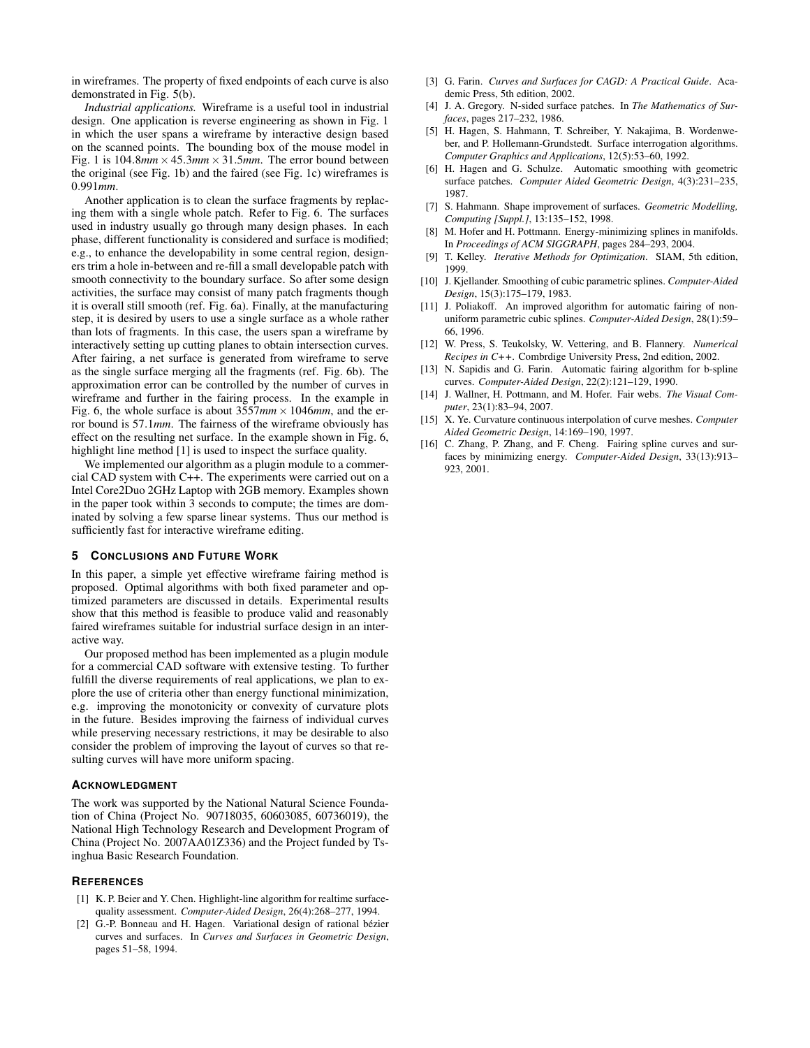in wireframes. The property of fixed endpoints of each curve is also demonstrated in Fig. 5(b).

*Industrial applications.* Wireframe is a useful tool in industrial design. One application is reverse engineering as shown in Fig. 1 in which the user spans a wireframe by interactive design based on the scanned points. The bounding box of the mouse model in Fig. 1 is  $104.8mm \times 45.3mm \times 31.5mm$ . The error bound between the original (see Fig. 1b) and the faired (see Fig. 1c) wireframes is 0.991*mm*.

Another application is to clean the surface fragments by replacing them with a single whole patch. Refer to Fig. 6. The surfaces used in industry usually go through many design phases. In each phase, different functionality is considered and surface is modified; e.g., to enhance the developability in some central region, designers trim a hole in-between and re-fill a small developable patch with smooth connectivity to the boundary surface. So after some design activities, the surface may consist of many patch fragments though it is overall still smooth (ref. Fig. 6a). Finally, at the manufacturing step, it is desired by users to use a single surface as a whole rather than lots of fragments. In this case, the users span a wireframe by interactively setting up cutting planes to obtain intersection curves. After fairing, a net surface is generated from wireframe to serve as the single surface merging all the fragments (ref. Fig. 6b). The approximation error can be controlled by the number of curves in wireframe and further in the fairing process. In the example in Fig. 6, the whole surface is about  $3557mm \times 1046mm$ , and the error bound is 57.1*mm*. The fairness of the wireframe obviously has effect on the resulting net surface. In the example shown in Fig. 6, highlight line method [1] is used to inspect the surface quality.

We implemented our algorithm as a plugin module to a commercial CAD system with C++. The experiments were carried out on a Intel Core2Duo 2GHz Laptop with 2GB memory. Examples shown in the paper took within 3 seconds to compute; the times are dominated by solving a few sparse linear systems. Thus our method is sufficiently fast for interactive wireframe editing.

# **5 CONCLUSIONS AND FUTURE WORK**

In this paper, a simple yet effective wireframe fairing method is proposed. Optimal algorithms with both fixed parameter and optimized parameters are discussed in details. Experimental results show that this method is feasible to produce valid and reasonably faired wireframes suitable for industrial surface design in an interactive way.

Our proposed method has been implemented as a plugin module for a commercial CAD software with extensive testing. To further fulfill the diverse requirements of real applications, we plan to explore the use of criteria other than energy functional minimization, e.g. improving the monotonicity or convexity of curvature plots in the future. Besides improving the fairness of individual curves while preserving necessary restrictions, it may be desirable to also consider the problem of improving the layout of curves so that resulting curves will have more uniform spacing.

#### **ACKNOWLEDGMENT**

The work was supported by the National Natural Science Foundation of China (Project No. 90718035, 60603085, 60736019), the National High Technology Research and Development Program of China (Project No. 2007AA01Z336) and the Project funded by Tsinghua Basic Research Foundation.

## **REFERENCES**

- [1] K. P. Beier and Y. Chen. Highlight-line algorithm for realtime surfacequality assessment. *Computer-Aided Design*, 26(4):268–277, 1994.
- [2] G.-P. Bonneau and H. Hagen. Variational design of rational bézier curves and surfaces. In *Curves and Surfaces in Geometric Design*, pages 51–58, 1994.
- [3] G. Farin. *Curves and Surfaces for CAGD: A Practical Guide*. Academic Press, 5th edition, 2002.
- [4] J. A. Gregory. N-sided surface patches. In *The Mathematics of Surfaces*, pages 217–232, 1986.
- [5] H. Hagen, S. Hahmann, T. Schreiber, Y. Nakajima, B. Wordenweber, and P. Hollemann-Grundstedt. Surface interrogation algorithms. *Computer Graphics and Applications*, 12(5):53–60, 1992.
- [6] H. Hagen and G. Schulze. Automatic smoothing with geometric surface patches. *Computer Aided Geometric Design*, 4(3):231–235, 1987.
- [7] S. Hahmann. Shape improvement of surfaces. *Geometric Modelling, Computing [Suppl.]*, 13:135–152, 1998.
- [8] M. Hofer and H. Pottmann. Energy-minimizing splines in manifolds. In *Proceedings of ACM SIGGRAPH*, pages 284–293, 2004.
- [9] T. Kelley. *Iterative Methods for Optimization*. SIAM, 5th edition, 1999.
- [10] J. Kjellander. Smoothing of cubic parametric splines. *Computer-Aided Design*, 15(3):175–179, 1983.
- [11] J. Poliakoff. An improved algorithm for automatic fairing of nonuniform parametric cubic splines. *Computer-Aided Design*, 28(1):59– 66, 1996.
- [12] W. Press, S. Teukolsky, W. Vettering, and B. Flannery. *Numerical Recipes in C++*. Combrdige University Press, 2nd edition, 2002.
- [13] N. Sapidis and G. Farin. Automatic fairing algorithm for b-spline curves. *Computer-Aided Design*, 22(2):121–129, 1990.
- [14] J. Wallner, H. Pottmann, and M. Hofer. Fair webs. *The Visual Computer*, 23(1):83–94, 2007.
- [15] X. Ye. Curvature continuous interpolation of curve meshes. *Computer Aided Geometric Design*, 14:169–190, 1997.
- [16] C. Zhang, P. Zhang, and F. Cheng. Fairing spline curves and surfaces by minimizing energy. *Computer-Aided Design*, 33(13):913– 923, 2001.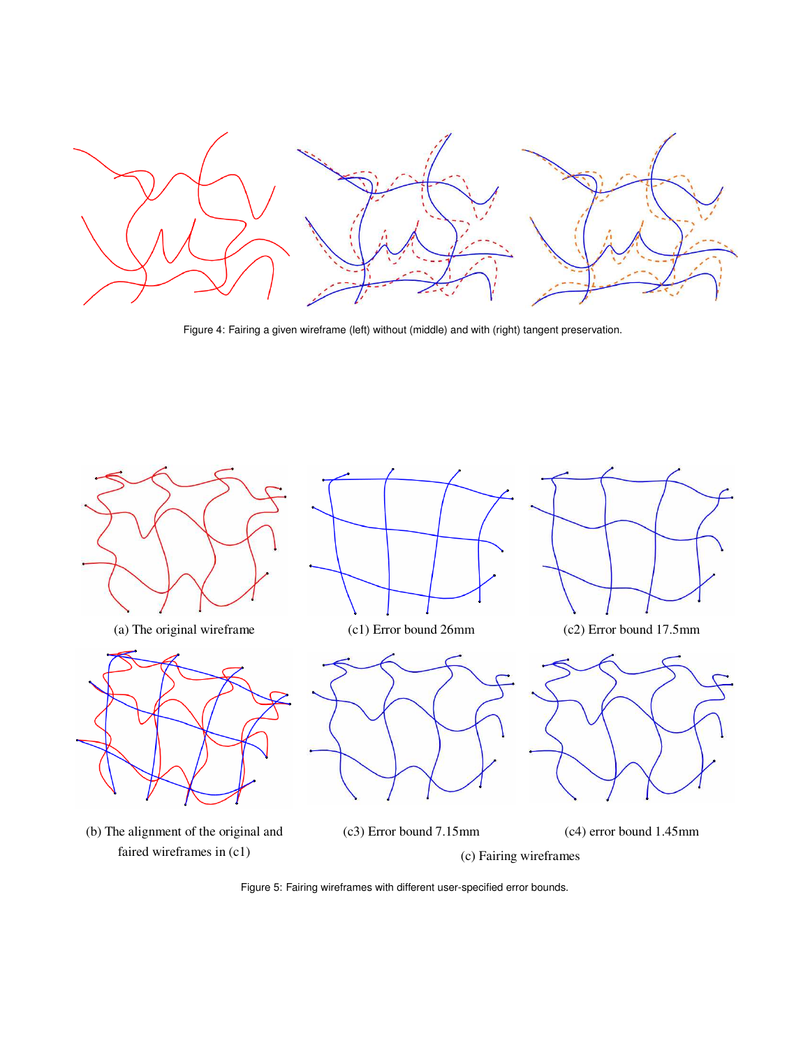

Figure 4: Fairing a given wireframe (left) without (middle) and with (right) tangent preservation.



Figure 5: Fairing wireframes with different user-specified error bounds.